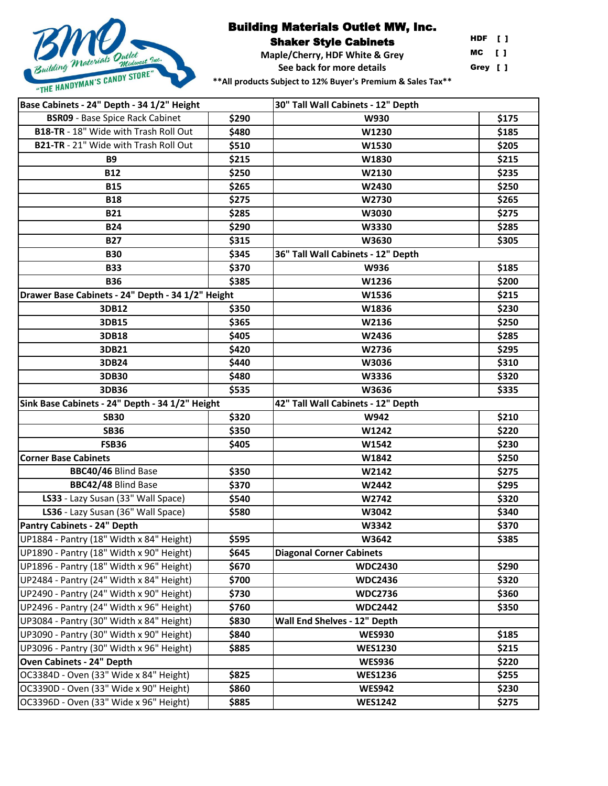

## Building Materials Outlet MW, Inc.

Shaker Style Cabinets

HDF [ ]

**Maple/Cherry, HDF White & Grey**

**See back for more details** 

MC [ ] Grey [ ]

**\*\*All products Subject to 12% Buyer's Premium & Sales Tax\*\***

| Base Cabinets - 24" Depth - 34 1/2" Height        |       | 30" Tall Wall Cabinets - 12" Depth |       |  |
|---------------------------------------------------|-------|------------------------------------|-------|--|
| <b>BSR09</b> - Base Spice Rack Cabinet            | \$290 | \$175<br><b>W930</b>               |       |  |
| B18-TR - 18" Wide with Trash Roll Out             | \$480 | W1230                              | \$185 |  |
| B21-TR - 21" Wide with Trash Roll Out             | \$510 | W1530                              | \$205 |  |
| <b>B9</b>                                         | \$215 | W1830                              | \$215 |  |
| <b>B12</b>                                        | \$250 | W2130                              | \$235 |  |
| <b>B15</b>                                        | \$265 | W2430                              | \$250 |  |
| <b>B18</b>                                        | \$275 | W2730                              | \$265 |  |
| <b>B21</b>                                        | \$285 | W3030                              | \$275 |  |
| <b>B24</b>                                        | \$290 | W3330                              | \$285 |  |
| <b>B27</b>                                        | \$315 | W3630<br>\$305                     |       |  |
| <b>B30</b>                                        | \$345 | 36" Tall Wall Cabinets - 12" Depth |       |  |
| <b>B33</b>                                        | \$370 | <b>W936</b>                        | \$185 |  |
| <b>B36</b>                                        | \$385 | W1236                              | \$200 |  |
| Drawer Base Cabinets - 24" Depth - 34 1/2" Height |       | W1536                              | \$215 |  |
| 3DB12                                             | \$350 | W1836                              | \$230 |  |
| 3DB15                                             | \$365 | W2136                              | \$250 |  |
| 3DB18                                             | \$405 | W2436                              | \$285 |  |
| 3DB21                                             | \$420 | W2736                              | \$295 |  |
| 3DB24                                             | \$440 | W3036                              | \$310 |  |
| 3DB30                                             | \$480 | W3336                              | \$320 |  |
| 3DB36                                             | \$535 | W3636                              | \$335 |  |
| Sink Base Cabinets - 24" Depth - 34 1/2" Height   |       | 42" Tall Wall Cabinets - 12" Depth |       |  |
| <b>SB30</b>                                       | \$320 | W942                               | \$210 |  |
| <b>SB36</b>                                       | \$350 | W1242                              | \$220 |  |
| <b>FSB36</b>                                      | \$405 | W1542<br>\$230                     |       |  |
| <b>Corner Base Cabinets</b>                       |       | W1842                              | \$250 |  |
| BBC40/46 Blind Base                               | \$350 | W2142                              | \$275 |  |
| BBC42/48 Blind Base                               | \$370 | W2442                              | \$295 |  |
| LS33 - Lazy Susan (33" Wall Space)                | \$540 | W2742                              | \$320 |  |
| LS36 - Lazy Susan (36" Wall Space)                | \$580 | W3042                              | \$340 |  |
| Pantry Cabinets - 24" Depth                       |       | W3342                              | \$370 |  |
| UP1884 - Pantry (18" Width x 84" Height)          | \$595 | W3642<br>\$385                     |       |  |
| UP1890 - Pantry (18" Width x 90" Height)          | \$645 | <b>Diagonal Corner Cabinets</b>    |       |  |
| UP1896 - Pantry (18" Width x 96" Height)          | \$670 | <b>WDC2430</b>                     | \$290 |  |
| UP2484 - Pantry (24" Width x 84" Height)          | \$700 | <b>WDC2436</b><br>\$320            |       |  |
| UP2490 - Pantry (24" Width x 90" Height)          | \$730 | <b>WDC2736</b>                     | \$360 |  |
| UP2496 - Pantry (24" Width x 96" Height)          | \$760 | <b>WDC2442</b>                     | \$350 |  |
| UP3084 - Pantry (30" Width x 84" Height)          | \$830 | Wall End Shelves - 12" Depth       |       |  |
| UP3090 - Pantry (30" Width x 90" Height)          | \$840 | <b>WES930</b>                      | \$185 |  |
| UP3096 - Pantry (30" Width x 96" Height)          | \$885 | <b>WES1230</b>                     | \$215 |  |
| Oven Cabinets - 24" Depth                         |       | <b>WES936</b>                      | \$220 |  |
| OC3384D - Oven (33" Wide x 84" Height)            | \$825 | <b>WES1236</b>                     | \$255 |  |
| OC3390D - Oven (33" Wide x 90" Height)            | \$860 | <b>WES942</b>                      | \$230 |  |
| OC3396D - Oven (33" Wide x 96" Height)            | \$885 | <b>WES1242</b>                     | \$275 |  |
|                                                   |       |                                    |       |  |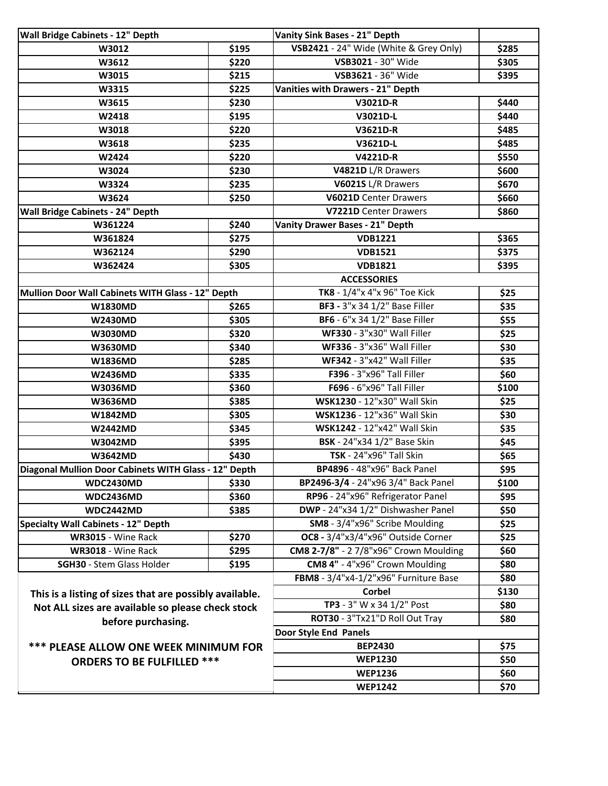| Wall Bridge Cabinets - 12" Depth                        |       | Vanity Sink Bases - 21" Depth          |       |
|---------------------------------------------------------|-------|----------------------------------------|-------|
| W3012                                                   | \$195 | VSB2421 - 24" Wide (White & Grey Only) | \$285 |
| W3612                                                   | \$220 | VSB3021 - 30" Wide                     | \$305 |
| W3015                                                   | \$215 | VSB3621 - 36" Wide                     | \$395 |
| W3315                                                   | \$225 | Vanities with Drawers - 21" Depth      |       |
| W3615                                                   | \$230 | V3021D-R                               | \$440 |
| W2418                                                   | \$195 | V3021D-L                               | \$440 |
| W3018                                                   | \$220 | V3621D-R                               | \$485 |
| W3618                                                   | \$235 | V3621D-L                               | \$485 |
| W2424                                                   | \$220 | V4221D-R                               | \$550 |
| W3024                                                   | \$230 | V4821D L/R Drawers                     | \$600 |
| W3324                                                   | \$235 | V6021S L/R Drawers                     | \$670 |
| W3624                                                   | \$250 | V6021D Center Drawers                  | \$660 |
| <b>Wall Bridge Cabinets - 24" Depth</b>                 |       | V7221D Center Drawers                  | \$860 |
| W361224                                                 | \$240 | Vanity Drawer Bases - 21" Depth        |       |
| W361824                                                 | \$275 | <b>VDB1221</b>                         | \$365 |
| W362124                                                 | \$290 | <b>VDB1521</b>                         | \$375 |
| W362424                                                 | \$305 | <b>VDB1821</b>                         | \$395 |
|                                                         |       | <b>ACCESSORIES</b>                     |       |
| Mullion Door Wall Cabinets WITH Glass - 12" Depth       |       | TK8 - 1/4"x 4"x 96" Toe Kick           | \$25  |
| <b>W1830MD</b>                                          | \$265 | <b>BF3</b> - 3"x 34 1/2" Base Filler   | \$35  |
| <b>W2430MD</b>                                          | \$305 | BF6 - 6"x 34 1/2" Base Filler          | \$55  |
| <b>W3030MD</b>                                          | \$320 | WF330 - 3"x30" Wall Filler             | \$25  |
| <b>W3630MD</b>                                          | \$340 | WF336 - 3"x36" Wall Filler             | \$30  |
| W1836MD                                                 | \$285 | WF342 - 3"x42" Wall Filler             | \$35  |
| <b>W2436MD</b>                                          | \$335 | F396 - 3"x96" Tall Filler              | \$60  |
| W3036MD                                                 | \$360 | F696 - 6"x96" Tall Filler              | \$100 |
| W3636MD                                                 | \$385 | WSK1230 - 12"x30" Wall Skin            | \$25  |
| W1842MD                                                 | \$305 | WSK1236 - 12"x36" Wall Skin            | \$30  |
| <b>W2442MD</b>                                          | \$345 | WSK1242 - 12"x42" Wall Skin            | \$35  |
| <b>W3042MD</b>                                          | \$395 | BSK - 24"x34 1/2" Base Skin            | \$45  |
| <b>W3642MD</b>                                          | \$430 | TSK - 24"x96" Tall Skin                | \$65  |
| Diagonal Mullion Door Cabinets WITH Glass - 12" Depth   |       | BP4896 - 48"x96" Back Panel            | \$95  |
| <b>WDC2430MD</b>                                        | \$330 | BP2496-3/4 - 24"x96 3/4" Back Panel    | \$100 |
| <b>WDC2436MD</b>                                        | \$360 | RP96 - 24"x96" Refrigerator Panel      | \$95  |
| <b>WDC2442MD</b>                                        | \$385 | DWP - 24"x34 1/2" Dishwasher Panel     | \$50  |
| <b>Specialty Wall Cabinets - 12" Depth</b>              |       | SM8 - 3/4"x96" Scribe Moulding         | \$25  |
| WR3015 - Wine Rack                                      | \$270 | OC8 - 3/4"x3/4"x96" Outside Corner     | \$25  |
| WR3018 - Wine Rack                                      | \$295 | CM8 2-7/8" - 2 7/8"x96" Crown Moulding | \$60  |
| <b>SGH30</b> - Stem Glass Holder                        | \$195 | CM8 4" - 4"x96" Crown Moulding         | \$80  |
|                                                         |       | FBM8 - 3/4"x4-1/2"x96" Furniture Base  | \$80  |
| This is a listing of sizes that are possibly available. |       | <b>Corbel</b>                          | \$130 |
| Not ALL sizes are available so please check stock       |       | TP3 - 3" W x 34 1/2" Post              | \$80  |
| before purchasing.                                      |       | ROT30 - 3"Tx21"D Roll Out Tray         | \$80  |
|                                                         |       | Door Style End Panels                  |       |
| *** PLEASE ALLOW ONE WEEK MINIMUM FOR                   |       | <b>BEP2430</b>                         | \$75  |
| <b>ORDERS TO BE FULFILLED ***</b>                       |       | <b>WEP1230</b>                         | \$50  |
|                                                         |       | <b>WEP1236</b>                         | \$60  |
|                                                         |       | <b>WEP1242</b>                         | \$70  |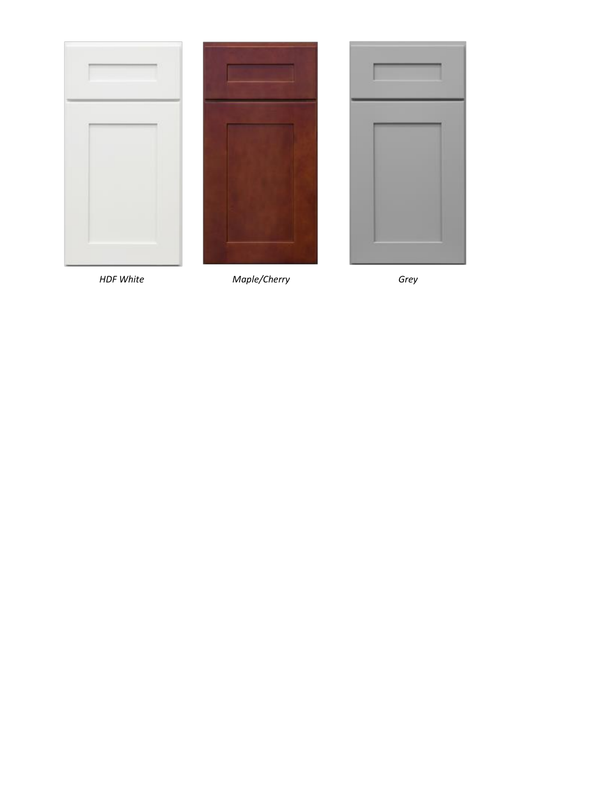





 *HDF White Maple/Cherry Grey*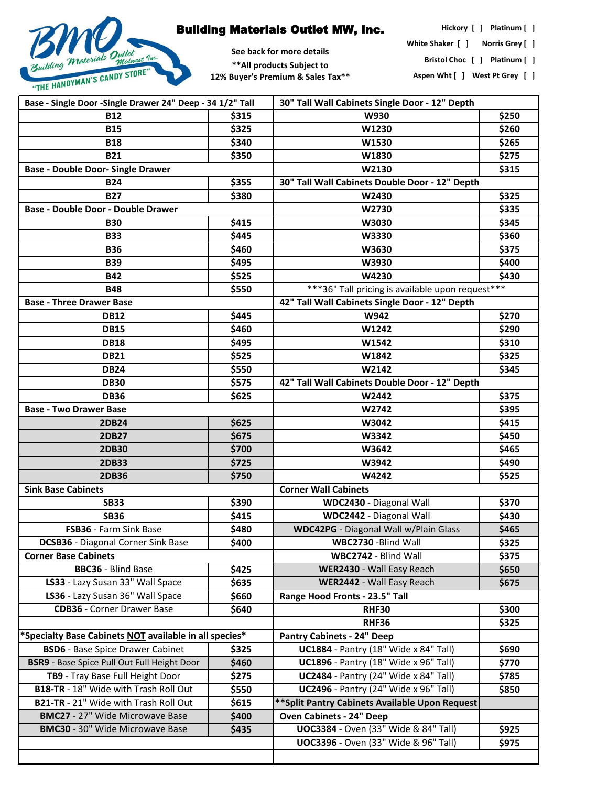

## Building Materials Outlet MW, Inc.

**See back for more details \*\*All products Subject to 12% Buyer's Premium & Sales Tax\*\*** **Hickory [ ] Platinum [ ]**

**White Shaker [ ] Norris Grey [ ]**

**Bristol Choc [ ] Platinum [ ]** 

**Aspen Wht [ ] West Pt Grey [ ]**

 **Base - Single Door -Single Drawer 24" Deep - 34 1/2" Tall B12 \$315 W930 \$250 B15 \$325 W1230 \$260 B18 \$340 W1530 \$265 B21 \$350 W1830 \$275 Base - Double Door- Single Drawer Network 1 and 1997 (1998) W2130 \$315 B24 b \$355 B27 \$380 W2430 \$325 Base - Double Door - Double Drawer W2730 \$335 B30 \$415 W3030 \$345 B33 \$445 W3330 \$360 B36 \$460 W3630 \$375 B39 \$495 W3930 \$400 B42 \$525 W4230 \$430 B48 \$550 Base - Three Drawer Base DB12 \$445 W942 \$270 DB15 \$460 W1242 \$290 DB18 \$495 W1542 \$310 DB21 \$525 W1842 \$325 DB24 \$550 W2142 \$345 DB30 \$575 DB36 \$625 W2442 \$375 Base - Two Drawer Base W2742 \$395 2DB24 \$625 W3042 \$415 2DB27 \$675 W3342 \$450 2DB30 \$700 W3642 \$465 2DB33 \$725 W3942 \$490 2DB36 \$750 W4242 \$525 Sink Base Cabinets SB33 \$390 WDC2430** - Diagonal Wall **\$370 SB36 \$415 WDC2442** - Diagonal Wall **\$430 FSB36** - Farm Sink Base **\$480 WDC42PG** - Diagonal Wall w/Plain Glass **\$465 DCSB36** - Diagonal Corner Sink Base **\$400 WBC2730** -Blind Wall **\$325 Corner Base Cabinets Corner Base Cabinets Corner Base Cabinets Corner Base Cabinets Corner Base Cabinets Corner Base Cabinets Corner Base Cabinets Corner Base Cabinets Corner Base Cabinets Corner Base Co BBC36** - Blind Base **\$425 WER2430** - Wall Easy Reach **\$650 LS33** - Lazy Susan 33" Wall Space **\$635 WER2442** - Wall Easy Reach **\$675 LS36** - Lazy Susan 36" Wall Space **\$660 Range Hood Fronts - 23.5" Tall CDB36** - Corner Drawer Base **\$640 RHF30 \$300 RHF36 \$325 \*Specialty Base Cabinets NOT available in all species\* Pantry Cabinets - 24" Deep BSD6** - Base Spice Drawer Cabinet **\$325 UC1884** - Pantry (18" Wide x 84" Tall) **\$690 BSR9** - Base Spice Pull Out Full Height Door **\$460 UC1896** - Pantry (18" Wide x 96" Tall) **\$770 TB9** - Tray Base Full Height Door **\$275 UC2484** - Pantry (24" Wide x 84" Tall) **\$785 B18-TR** - 18" Wide with Trash Roll Out **\$550 UC2496** - Pantry (24" Wide x 96" Tall) **\$850 B21-TR** - 21" Wide with Trash Roll Out  $\qquad$  \$615  $*$  **\*\*Split Pantry Cabinets Available Upon Request BMC27** - 27" Wide Microwave Base **\$400 | Oven Cabinets - 24" Deep BMC30** - 30" Wide Microwave Base **\$435 UOC3384** - Oven (33" Wide & 84" Tall) **\$925 UOC3396** - Oven (33" Wide & 96" Tall) **\$975 42" Tall Wall Cabinets Double Door - 12" Depth Corner Wall Cabinets 30" Tall Wall Cabinets Single Door - 12" Depth 30" Tall Wall Cabinets Double Door - 12" Depth** \*\*\*36" Tall pricing is available upon request\*\*\*  **42" Tall Wall Cabinets Single Door - 12" Depth**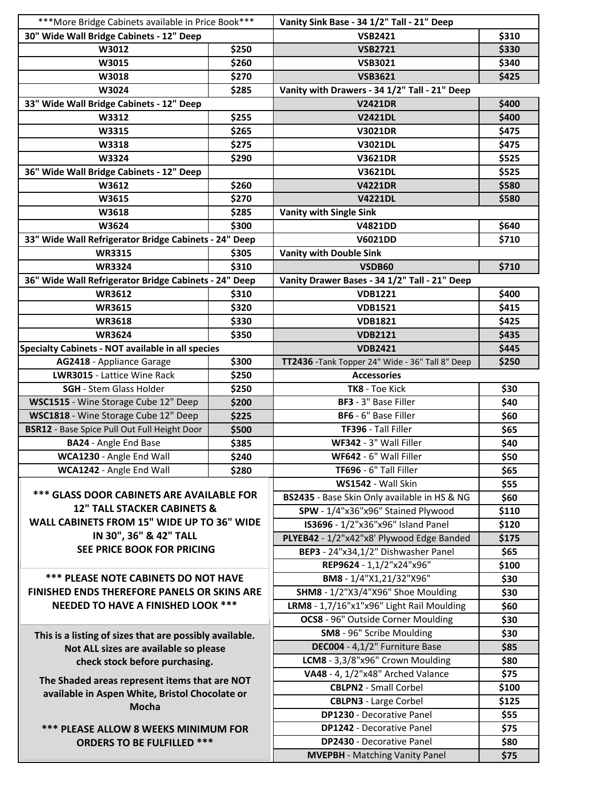| ***More Bridge Cabinets available in Price Book***                        |       | Vanity Sink Base - 34 1/2" Tall - 21" Deep                               |              |  |
|---------------------------------------------------------------------------|-------|--------------------------------------------------------------------------|--------------|--|
| 30" Wide Wall Bridge Cabinets - 12" Deep                                  |       | \$310<br><b>VSB2421</b>                                                  |              |  |
| W3012                                                                     | \$250 | <b>VSB2721</b>                                                           | \$330        |  |
| W3015                                                                     | \$260 | <b>VSB3021</b>                                                           | \$340        |  |
| W3018                                                                     | \$270 | <b>VSB3621</b>                                                           | \$425        |  |
| W3024                                                                     | \$285 | Vanity with Drawers - 34 1/2" Tall - 21" Deep                            |              |  |
| 33" Wide Wall Bridge Cabinets - 12" Deep                                  |       | <b>V2421DR</b>                                                           | \$400        |  |
| W3312                                                                     | \$255 | <b>V2421DL</b>                                                           | \$400        |  |
| W3315                                                                     | \$265 | <b>V3021DR</b>                                                           | \$475        |  |
| W3318                                                                     | \$275 | V3021DL                                                                  | \$475        |  |
| W3324                                                                     | \$290 | <b>V3621DR</b>                                                           | \$525        |  |
| 36" Wide Wall Bridge Cabinets - 12" Deep                                  |       | V3621DL                                                                  | \$525        |  |
| W3612                                                                     | \$260 | <b>V4221DR</b>                                                           | \$580        |  |
| W3615                                                                     | \$270 | <b>V4221DL</b>                                                           | \$580        |  |
| W3618                                                                     | \$285 | <b>Vanity with Single Sink</b>                                           |              |  |
| W3624                                                                     | \$300 | <b>V4821DD</b>                                                           | \$640        |  |
| 33" Wide Wall Refrigerator Bridge Cabinets - 24" Deep                     |       | V6021DD<br>\$710                                                         |              |  |
| <b>WR3315</b>                                                             | \$305 | <b>Vanity with Double Sink</b>                                           |              |  |
| <b>WR3324</b>                                                             | \$310 | VSDB60                                                                   | \$710        |  |
| 36" Wide Wall Refrigerator Bridge Cabinets - 24" Deep                     |       | Vanity Drawer Bases - 34 1/2" Tall - 21" Deep                            |              |  |
| <b>WR3612</b>                                                             | \$310 | <b>VDB1221</b>                                                           | \$400        |  |
| <b>WR3615</b>                                                             | \$320 | <b>VDB1521</b>                                                           | \$415        |  |
| <b>WR3618</b>                                                             | \$330 | <b>VDB1821</b>                                                           | \$425        |  |
| <b>WR3624</b>                                                             | \$350 | <b>VDB2121</b>                                                           | \$435        |  |
| Specialty Cabinets - NOT available in all species                         |       | <b>VDB2421</b>                                                           | \$445        |  |
| AG2418 - Appliance Garage                                                 | \$300 | TT2436 - Tank Topper 24" Wide - 36" Tall 8" Deep                         | \$250        |  |
| LWR3015 - Lattice Wine Rack                                               | \$250 | <b>Accessories</b>                                                       |              |  |
| <b>SGH</b> - Stem Glass Holder                                            | \$250 | TK8 - Toe Kick                                                           | \$30         |  |
| WSC1515 - Wine Storage Cube 12" Deep                                      | \$200 | BF3 - 3" Base Filler                                                     | \$40         |  |
| WSC1818 - Wine Storage Cube 12" Deep                                      | \$225 | BF6 - 6" Base Filler                                                     | \$60         |  |
| <b>BSR12</b> - Base Spice Pull Out Full Height Door                       | \$500 | TF396 - Tall Filler                                                      | \$65         |  |
| <b>BA24</b> - Angle End Base                                              | \$385 | WF342 - 3" Wall Filler                                                   | \$40         |  |
| WCA1230 - Angle End Wall                                                  | \$240 | WF642 - 6" Wall Filler                                                   |              |  |
| WCA1242 - Angle End Wall                                                  | \$280 | TF696 - 6" Tall Filler                                                   | \$50<br>\$65 |  |
|                                                                           |       | WS1542 - Wall Skin                                                       |              |  |
| <b>*** GLASS DOOR CABINETS ARE AVAILABLE FOR</b>                          |       |                                                                          | \$55         |  |
| <b>12" TALL STACKER CABINETS &amp;</b>                                    |       | BS2435 - Base Skin Only available in HS & NG                             | \$60         |  |
| WALL CABINETS FROM 15" WIDE UP TO 36" WIDE                                |       | SPW - 1/4"x36"x96" Stained Plywood<br>IS3696 - 1/2"x36"x96" Island Panel | \$110        |  |
| IN 30", 36" & 42" TALL                                                    |       |                                                                          | \$120        |  |
|                                                                           |       | PLYEB42 - 1/2"x42"x8' Plywood Edge Banded                                | \$175        |  |
| SEE PRICE BOOK FOR PRICING                                                |       | BEP3 - 24"x34,1/2" Dishwasher Panel                                      | \$65         |  |
|                                                                           |       | REP9624 - 1,1/2"x24"x96"                                                 | \$100        |  |
| <b>*** PLEASE NOTE CABINETS DO NOT HAVE</b>                               |       | BM8 - 1/4"X1,21/32"X96"                                                  | \$30         |  |
| <b>FINISHED ENDS THEREFORE PANELS OR SKINS ARE</b>                        |       | <b>SHM8</b> - 1/2"X3/4"X96" Shoe Moulding                                | \$30         |  |
| <b>NEEDED TO HAVE A FINISHED LOOK ***</b>                                 |       | LRM8 - 1,7/16"x1"x96" Light Rail Moulding                                | \$60         |  |
|                                                                           |       | OCS8 - 96" Outside Corner Moulding                                       | \$30         |  |
| This is a listing of sizes that are possibly available.                   |       | SM8 - 96" Scribe Moulding                                                | \$30         |  |
| Not ALL sizes are available so please                                     |       | DEC004 - 4,1/2" Furniture Base                                           | \$85         |  |
| check stock before purchasing.                                            |       | LCM8 - 3,3/8"x96" Crown Moulding                                         | \$80         |  |
| The Shaded areas represent items that are NOT                             |       | VA48 - 4, 1/2"x48" Arched Valance                                        | \$75         |  |
| available in Aspen White, Bristol Chocolate or<br>Mocha                   |       | <b>CBLPN2</b> - Small Corbel                                             | \$100        |  |
|                                                                           |       | <b>CBLPN3</b> - Large Corbel                                             | \$125        |  |
|                                                                           |       | <b>DP1230</b> - Decorative Panel                                         | \$55         |  |
| *** PLEASE ALLOW 8 WEEKS MINIMUM FOR<br><b>ORDERS TO BE FULFILLED ***</b> |       | <b>DP1242</b> - Decorative Panel                                         | \$75         |  |
|                                                                           |       | <b>DP2430</b> - Decorative Panel                                         | \$80         |  |
|                                                                           |       | <b>MVEPBH</b> - Matching Vanity Panel                                    | \$75         |  |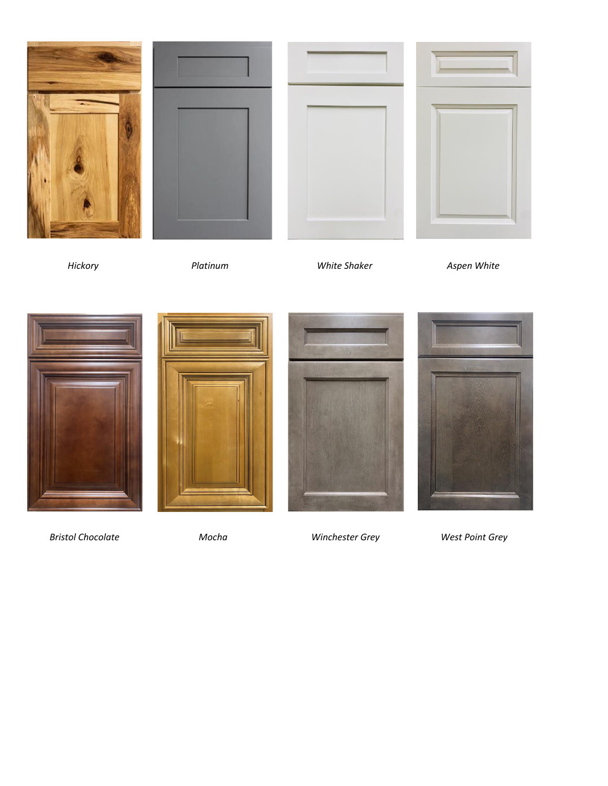









*Hickory* **Platinum** *Platinum White Shaker* **Aspen White** 







 *Bristol Chocolate Mocha Winchester Grey West Point Grey*